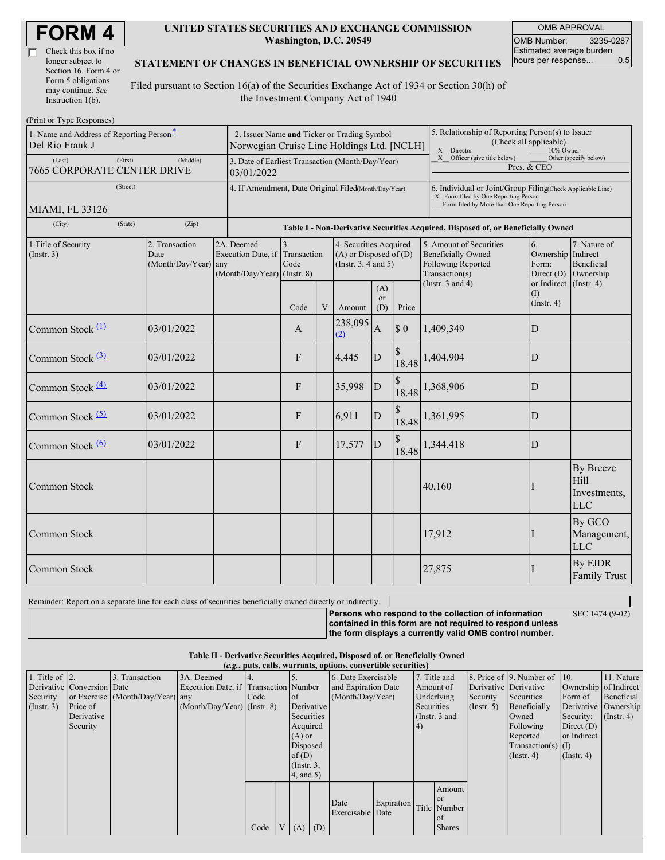| Check this box if no  |
|-----------------------|
| longer subject to     |
| Section 16. Form 4 or |
| Form 5 obligations    |
| may continue. See     |
| Instruction $1(b)$ .  |

#### **UNITED STATES SECURITIES AND EXCHANGE COMMISSION Washington, D.C. 20549**

OMB APPROVAL OMB Number: 3235-0287 Estimated average burden hours per response... 0.5

### **STATEMENT OF CHANGES IN BENEFICIAL OWNERSHIP OF SECURITIES**

Filed pursuant to Section 16(a) of the Securities Exchange Act of 1934 or Section 30(h) of the Investment Company Act of 1940

| (Print or Type Responses)                                           |         |                                                |  |                                                                                           |                           |   |                                                                                  |                             |                        |                                                                                                                                                    |                                                   |                                                 |  |
|---------------------------------------------------------------------|---------|------------------------------------------------|--|-------------------------------------------------------------------------------------------|---------------------------|---|----------------------------------------------------------------------------------|-----------------------------|------------------------|----------------------------------------------------------------------------------------------------------------------------------------------------|---------------------------------------------------|-------------------------------------------------|--|
| 1. Name and Address of Reporting Person-<br>Del Rio Frank J         |         |                                                |  | 2. Issuer Name and Ticker or Trading Symbol<br>Norwegian Cruise Line Holdings Ltd. [NCLH] |                           |   |                                                                                  |                             |                        | 5. Relationship of Reporting Person(s) to Issuer<br>(Check all applicable)<br>X Director<br>10% Owner                                              |                                                   |                                                 |  |
| (First)<br>(Last)<br>(Middle)<br><b>7665 CORPORATE CENTER DRIVE</b> |         |                                                |  | 3. Date of Earliest Transaction (Month/Day/Year)<br>03/01/2022                            |                           |   |                                                                                  |                             |                        | X Officer (give title below)<br>Other (specify below)<br>Pres. & CEO                                                                               |                                                   |                                                 |  |
| (Street)                                                            |         |                                                |  | 4. If Amendment, Date Original Filed(Month/Day/Year)                                      |                           |   |                                                                                  |                             |                        | 6. Individual or Joint/Group Filing(Check Applicable Line)<br>X Form filed by One Reporting Person<br>Form filed by More than One Reporting Person |                                                   |                                                 |  |
| MIAMI, FL 33126                                                     |         |                                                |  |                                                                                           |                           |   |                                                                                  |                             |                        |                                                                                                                                                    |                                                   |                                                 |  |
| (City)                                                              | (State) | (Zip)                                          |  | Table I - Non-Derivative Securities Acquired, Disposed of, or Beneficially Owned          |                           |   |                                                                                  |                             |                        |                                                                                                                                                    |                                                   |                                                 |  |
| 1. Title of Security<br>(Insert. 3)                                 |         | 2. Transaction<br>Date<br>(Month/Day/Year) any |  | 2A. Deemed<br>Execution Date, if<br>(Month/Day/Year) (Instr. 8)                           | 3.<br>Transaction<br>Code |   | 4. Securities Acquired<br>$(A)$ or Disposed of $(D)$<br>(Instr. $3, 4$ and $5$ ) |                             |                        | 5. Amount of Securities<br><b>Beneficially Owned</b><br>Following Reported<br>Transaction(s)                                                       | 6.<br>Ownership Indirect<br>Form:<br>Direct $(D)$ | 7. Nature of<br>Beneficial<br>Ownership         |  |
|                                                                     |         |                                                |  |                                                                                           | Code                      | V | Amount                                                                           | (A)<br><sub>or</sub><br>(D) | Price                  | (Instr. $3$ and $4$ )                                                                                                                              | or Indirect (Instr. 4)<br>(I)<br>$($ Instr. 4 $)$ |                                                 |  |
| Common Stock (1)                                                    |         | 03/01/2022                                     |  |                                                                                           | $\mathbf{A}$              |   | 238,095<br>(2)                                                                   | $\mathbf{A}$                | $\sqrt{3}0$            | 1,409,349                                                                                                                                          | D                                                 |                                                 |  |
| Common Stock $(3)$                                                  |         | 03/01/2022                                     |  |                                                                                           | F                         |   | 4,445                                                                            | D                           | $\mathcal{S}$<br>18.48 | 1,404,904                                                                                                                                          | D                                                 |                                                 |  |
| Common Stock $\frac{(4)}{4}$                                        |         | 03/01/2022                                     |  |                                                                                           | F                         |   | 35,998                                                                           | ${\bf D}$                   |                        | 18.48 1,368,906                                                                                                                                    | D                                                 |                                                 |  |
| Common Stock (5)                                                    |         | 03/01/2022                                     |  |                                                                                           | F                         |   | 6,911                                                                            | ${\rm D}$                   | 18.48                  | 1,361,995                                                                                                                                          | $\mathbf D$                                       |                                                 |  |
| Common Stock $\frac{(6)}{2}$                                        |         | 03/01/2022                                     |  |                                                                                           | $\mathbf{F}$              |   | 17,577                                                                           | D                           | 18.48                  | 1,344,418                                                                                                                                          | D                                                 |                                                 |  |
| Common Stock                                                        |         |                                                |  |                                                                                           |                           |   |                                                                                  |                             |                        | 40,160                                                                                                                                             | I                                                 | By Breeze<br>Hill<br>Investments,<br><b>LLC</b> |  |
| <b>Common Stock</b>                                                 |         |                                                |  |                                                                                           |                           |   |                                                                                  |                             |                        | 17,912                                                                                                                                             | I                                                 | By GCO<br>Management,<br><b>LLC</b>             |  |
| <b>Common Stock</b>                                                 |         |                                                |  |                                                                                           |                           |   |                                                                                  |                             |                        | 27,875                                                                                                                                             |                                                   | By FJDR<br><b>Family Trust</b>                  |  |

Reminder: Report on a separate line for each class of securities beneficially owned directly or indirectly.

**Persons who respond to the collection of information contained in this form are not required to respond unless the form displays a currently valid OMB control number.**

SEC 1474 (9-02)

**Table II - Derivative Securities Acquired, Disposed of, or Beneficially Owned**  $(a, a)$ , puts, calls,  $\bf{w}$ 

|                    | $(c, \zeta, \mu, \zeta)$ cans, warrants, options, convertible securities) |                                  |                               |      |                                       |                  |                  |                     |                         |                 |               |               |                              |                       |                      |
|--------------------|---------------------------------------------------------------------------|----------------------------------|-------------------------------|------|---------------------------------------|------------------|------------------|---------------------|-------------------------|-----------------|---------------|---------------|------------------------------|-----------------------|----------------------|
| 1. Title of $ 2$ . |                                                                           | 3. Transaction                   | 3A. Deemed                    |      |                                       |                  |                  | 6. Date Exercisable |                         |                 | 7. Title and  |               | 8. Price of 9. Number of 10. |                       | 11. Nature           |
|                    | Derivative Conversion Date                                                |                                  |                               |      | Execution Date, if Transaction Number |                  |                  | and Expiration Date |                         | Amount of       |               |               | Derivative Derivative        | Ownership of Indirect |                      |
| Security           |                                                                           | or Exercise (Month/Day/Year) any |                               | Code |                                       | of of            | (Month/Day/Year) |                     |                         | Underlying      | Security      | Securities    | Form of                      | Beneficial            |                      |
| $($ Instr. 3 $)$   | Price of                                                                  |                                  | $(Month/Day/Year)$ (Instr. 8) |      |                                       |                  | Derivative       |                     |                         | Securities      |               | $($ Instr. 5) | Beneficially                 |                       | Derivative Ownership |
|                    | Derivative                                                                |                                  |                               |      |                                       | Securities       |                  |                     |                         | (Instr. $3$ and |               |               | Owned                        | Security:             | $($ Instr. 4)        |
|                    | Security                                                                  |                                  |                               |      |                                       | Acquired         |                  |                     |                         | (4)             |               |               | Following                    | Direct $(D)$          |                      |
|                    |                                                                           |                                  |                               |      |                                       | $(A)$ or         |                  |                     |                         |                 |               |               | Reported                     | or Indirect           |                      |
|                    |                                                                           |                                  |                               |      |                                       | Disposed         |                  |                     |                         |                 |               |               | Transaction(s) $(I)$         |                       |                      |
|                    |                                                                           |                                  |                               |      |                                       | of(D)            |                  |                     |                         |                 |               | $($ Instr. 4) | $($ Instr. 4 $)$             |                       |                      |
|                    |                                                                           |                                  |                               |      |                                       | $($ Instr. $3$ , |                  |                     |                         |                 |               |               |                              |                       |                      |
|                    |                                                                           |                                  |                               |      |                                       | 4, and 5)        |                  |                     |                         |                 |               |               |                              |                       |                      |
|                    |                                                                           |                                  |                               |      |                                       |                  |                  |                     |                         |                 | Amount        |               |                              |                       |                      |
|                    |                                                                           |                                  |                               |      |                                       |                  |                  |                     |                         |                 | <sub>or</sub> |               |                              |                       |                      |
|                    |                                                                           |                                  |                               |      |                                       |                  |                  | Date                | Expiration Title Number |                 |               |               |                              |                       |                      |
|                    |                                                                           |                                  |                               |      |                                       |                  |                  | Exercisable Date    |                         |                 | of            |               |                              |                       |                      |
|                    |                                                                           |                                  |                               | Code | V <sub>1</sub>                        | $(A)$ $(D)$      |                  |                     |                         |                 | <b>Shares</b> |               |                              |                       |                      |